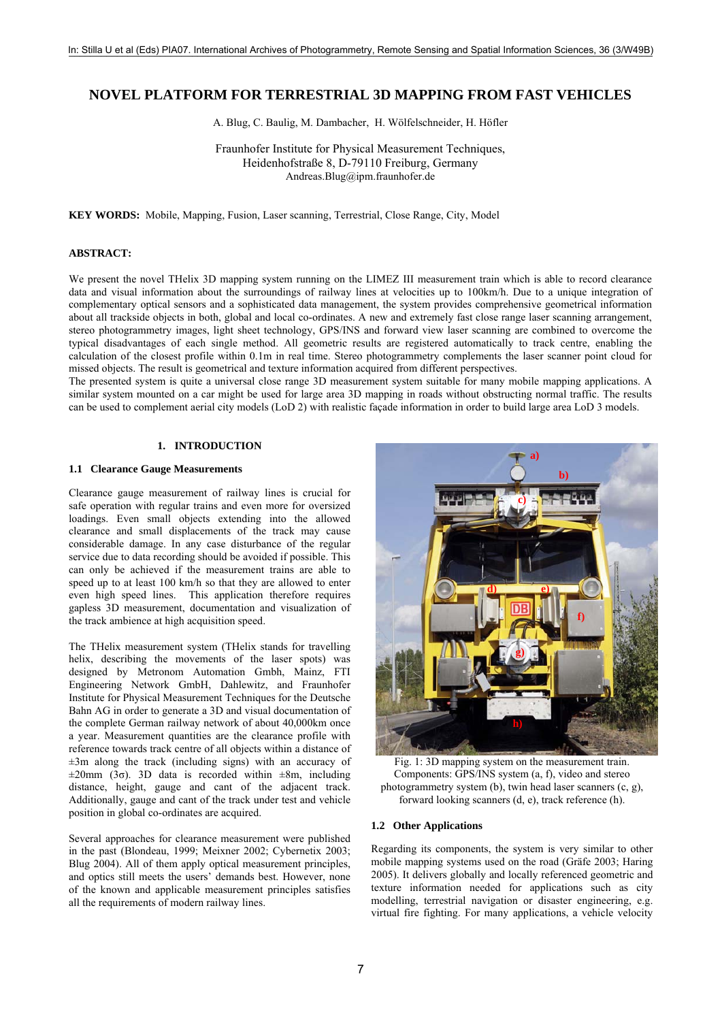# **NOVEL PLATFORM FOR TERRESTRIAL 3D MAPPING FROM FAST VEHICLES**

A. Blug, C. Baulig, M. Dambacher, H. Wölfelschneider, H. Höfler

Fraunhofer Institute for Physical Measurement Techniques, Heidenhofstraße 8, D-79110 Freiburg, Germany Andreas.Blug@ipm.fraunhofer.de

**KEY WORDS:** Mobile, Mapping, Fusion, Laser scanning, Terrestrial, Close Range, City, Model

# **ABSTRACT:**

We present the novel THelix 3D mapping system running on the LIMEZ III measurement train which is able to record clearance data and visual information about the surroundings of railway lines at velocities up to 100km/h. Due to a unique integration of complementary optical sensors and a sophisticated data management, the system provides comprehensive geometrical information about all trackside objects in both, global and local co-ordinates. A new and extremely fast close range laser scanning arrangement, stereo photogrammetry images, light sheet technology, GPS/INS and forward view laser scanning are combined to overcome the typical disadvantages of each single method. All geometric results are registered automatically to track centre, enabling the calculation of the closest profile within 0.1m in real time. Stereo photogrammetry complements the laser scanner point cloud for missed objects. The result is geometrical and texture information acquired from different perspectives.

The presented system is quite a universal close range 3D measurement system suitable for many mobile mapping applications. A similar system mounted on a car might be used for large area 3D mapping in roads without obstructing normal traffic. The results can be used to complement aerial city models (LoD 2) with realistic façade information in order to build large area LoD 3 models.

# **1. INTRODUCTION**

# **1.1 Clearance Gauge Measurements**

Clearance gauge measurement of railway lines is crucial for safe operation with regular trains and even more for oversized loadings. Even small objects extending into the allowed clearance and small displacements of the track may cause considerable damage. In any case disturbance of the regular service due to data recording should be avoided if possible. This can only be achieved if the measurement trains are able to speed up to at least 100 km/h so that they are allowed to enter even high speed lines. This application therefore requires gapless 3D measurement, documentation and visualization of the track ambience at high acquisition speed.

The THelix measurement system (THelix stands for travelling helix, describing the movements of the laser spots) was designed by Metronom Automation Gmbh, Mainz, FTI Engineering Network GmbH, Dahlewitz, and Fraunhofer Institute for Physical Measurement Techniques for the Deutsche Bahn AG in order to generate a 3D and visual documentation of the complete German railway network of about 40,000km once a year. Measurement quantities are the clearance profile with reference towards track centre of all objects within a distance of  $\pm 3$ m along the track (including signs) with an accuracy of  $\pm 20$ mm (3 $\sigma$ ). 3D data is recorded within  $\pm 8$ m, including distance, height, gauge and cant of the adjacent track. Additionally, gauge and cant of the track under test and vehicle position in global co-ordinates are acquired.

Several approaches for clearance measurement were published in the past (Blondeau, 1999; Meixner 2002; Cybernetix 2003; Blug 2004). All of them apply optical measurement principles, and optics still meets the users' demands best. However, none of the known and applicable measurement principles satisfies all the requirements of modern railway lines.



Fig. 1: 3D mapping system on the measurement train. Components: GPS/INS system (a, f), video and stereo photogrammetry system (b), twin head laser scanners (c, g), forward looking scanners (d, e), track reference (h).

# **1.2 Other Applications**

Regarding its components, the system is very similar to other mobile mapping systems used on the road (Gräfe 2003; Haring 2005). It delivers globally and locally referenced geometric and texture information needed for applications such as city modelling, terrestrial navigation or disaster engineering, e.g. virtual fire fighting. For many applications, a vehicle velocity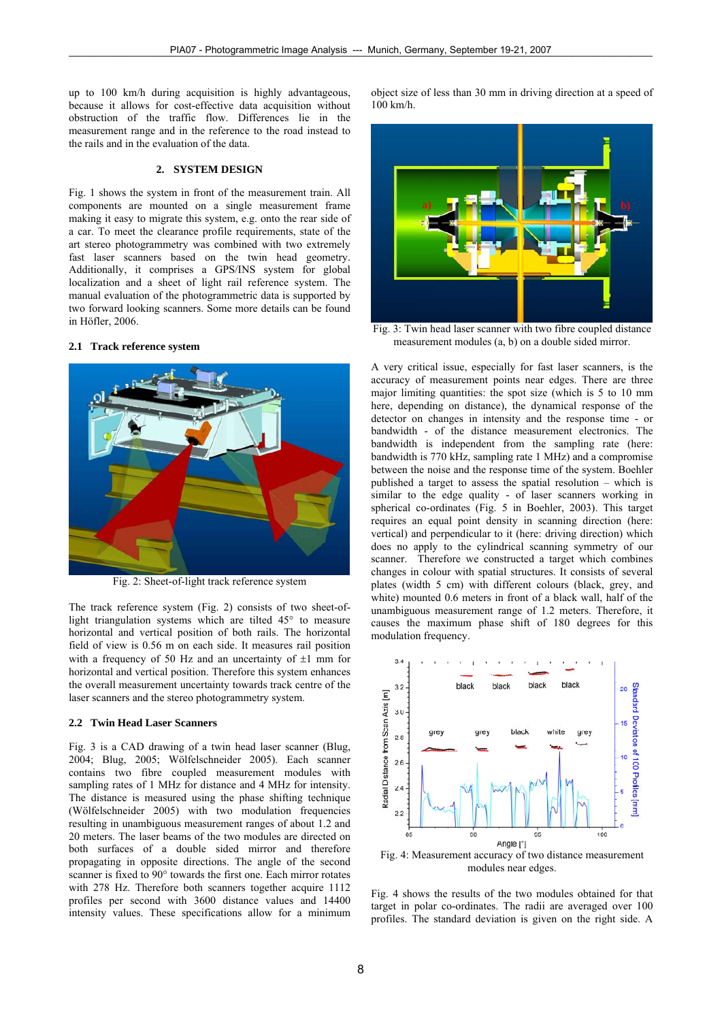up to 100 km/h during acquisition is highly advantageous, because it allows for cost-effective data acquisition without obstruction of the traffic flow. Differences lie in the measurement range and in the reference to the road instead to the rails and in the evaluation of the data.

### **2. SYSTEM DESIGN**

Fig. 1 shows the system in front of the measurement train. All components are mounted on a single measurement frame making it easy to migrate this system, e.g. onto the rear side of a car. To meet the clearance profile requirements, state of the art stereo photogrammetry was combined with two extremely fast laser scanners based on the twin head geometry. Additionally, it comprises a GPS/INS system for global localization and a sheet of light rail reference system. The manual evaluation of the photogrammetric data is supported by two forward looking scanners. Some more details can be found in Höfler, 2006.

### **2.1 Track reference system**



Fig. 2: Sheet-of-light track reference system

The track reference system (Fig. 2) consists of two sheet-oflight triangulation systems which are tilted 45° to measure horizontal and vertical position of both rails. The horizontal field of view is 0.56 m on each side. It measures rail position with a frequency of 50 Hz and an uncertainty of  $\pm 1$  mm for horizontal and vertical position. Therefore this system enhances the overall measurement uncertainty towards track centre of the laser scanners and the stereo photogrammetry system.

#### **2.2 Twin Head Laser Scanners**

Fig. 3 is a CAD drawing of a twin head laser scanner (Blug, 2004; Blug, 2005; Wölfelschneider 2005). Each scanner contains two fibre coupled measurement modules with sampling rates of 1 MHz for distance and 4 MHz for intensity. The distance is measured using the phase shifting technique (Wölfelschneider 2005) with two modulation frequencies resulting in unambiguous measurement ranges of about 1.2 and 20 meters. The laser beams of the two modules are directed on both surfaces of a double sided mirror and therefore propagating in opposite directions. The angle of the second scanner is fixed to 90° towards the first one. Each mirror rotates with 278 Hz. Therefore both scanners together acquire 1112 profiles per second with 3600 distance values and 14400 intensity values. These specifications allow for a minimum object size of less than 30 mm in driving direction at a speed of 100 km/h.



Fig. 3: Twin head laser scanner with two fibre coupled distance measurement modules (a, b) on a double sided mirror.

A very critical issue, especially for fast laser scanners, is the accuracy of measurement points near edges. There are three major limiting quantities: the spot size (which is 5 to 10 mm here, depending on distance), the dynamical response of the detector on changes in intensity and the response time - or bandwidth - of the distance measurement electronics. The bandwidth is independent from the sampling rate (here: bandwidth is 770 kHz, sampling rate 1 MHz) and a compromise between the noise and the response time of the system. Boehler published a target to assess the spatial resolution – which is similar to the edge quality - of laser scanners working in spherical co-ordinates (Fig. 5 in Boehler, 2003). This target requires an equal point density in scanning direction (here: vertical) and perpendicular to it (here: driving direction) which does no apply to the cylindrical scanning symmetry of our scanner. Therefore we constructed a target which combines changes in colour with spatial structures. It consists of several plates (width 5 cm) with different colours (black, grey, and white) mounted 0.6 meters in front of a black wall, half of the unambiguous measurement range of 1.2 meters. Therefore, it causes the maximum phase shift of 180 degrees for this modulation frequency.



Fig. 4: Measurement accuracy of two distance measurement modules near edges.

Fig. 4 shows the results of the two modules obtained for that target in polar co-ordinates. The radii are averaged over 100 profiles. The standard deviation is given on the right side. A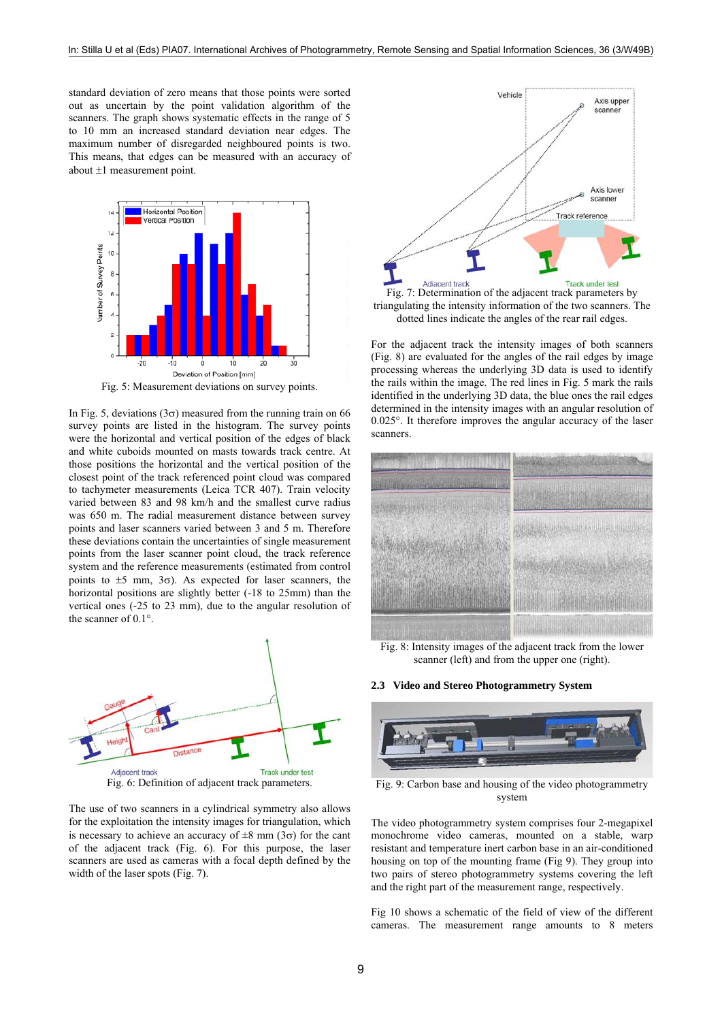standard deviation of zero means that those points were sorted out as uncertain by the point validation algorithm of the scanners. The graph shows systematic effects in the range of 5 to 10 mm an increased standard deviation near edges. The maximum number of disregarded neighboured points is two. This means, that edges can be measured with an accuracy of about ±1 measurement point.



Fig. 5: Measurement deviations on survey points.

In Fig. 5, deviations ( $3\sigma$ ) measured from the running train on 66 survey points are listed in the histogram. The survey points were the horizontal and vertical position of the edges of black and white cuboids mounted on masts towards track centre. At those positions the horizontal and the vertical position of the closest point of the track referenced point cloud was compared to tachymeter measurements (Leica TCR 407). Train velocity varied between 83 and 98 km/h and the smallest curve radius was 650 m. The radial measurement distance between survey points and laser scanners varied between 3 and 5 m. Therefore these deviations contain the uncertainties of single measurement points from the laser scanner point cloud, the track reference system and the reference measurements (estimated from control points to  $\pm 5$  mm,  $3\sigma$ ). As expected for laser scanners, the horizontal positions are slightly better (-18 to 25mm) than the vertical ones (-25 to 23 mm), due to the angular resolution of the scanner of 0.1°.



Fig. 6: Definition of adjacent track parameters.

The use of two scanners in a cylindrical symmetry also allows for the exploitation the intensity images for triangulation, which is necessary to achieve an accuracy of  $\pm 8$  mm (3 $\sigma$ ) for the cant of the adjacent track (Fig. 6). For this purpose, the laser scanners are used as cameras with a focal depth defined by the width of the laser spots (Fig. 7).



Fig. 7: Determination of the adjacent track parameters by triangulating the intensity information of the two scanners. The dotted lines indicate the angles of the rear rail edges.

For the adjacent track the intensity images of both scanners (Fig. 8) are evaluated for the angles of the rail edges by image processing whereas the underlying 3D data is used to identify the rails within the image. The red lines in Fig. 5 mark the rails identified in the underlying 3D data, the blue ones the rail edges determined in the intensity images with an angular resolution of 0.025°. It therefore improves the angular accuracy of the laser scanners.



Fig. 8: Intensity images of the adjacent track from the lower scanner (left) and from the upper one (right).

**2.3 Video and Stereo Photogrammetry System** 



Fig. 9: Carbon base and housing of the video photogrammetry system

The video photogrammetry system comprises four 2-megapixel monochrome video cameras, mounted on a stable, warp resistant and temperature inert carbon base in an air-conditioned housing on top of the mounting frame (Fig 9). They group into two pairs of stereo photogrammetry systems covering the left and the right part of the measurement range, respectively.

Fig 10 shows a schematic of the field of view of the different cameras. The measurement range amounts to 8 meters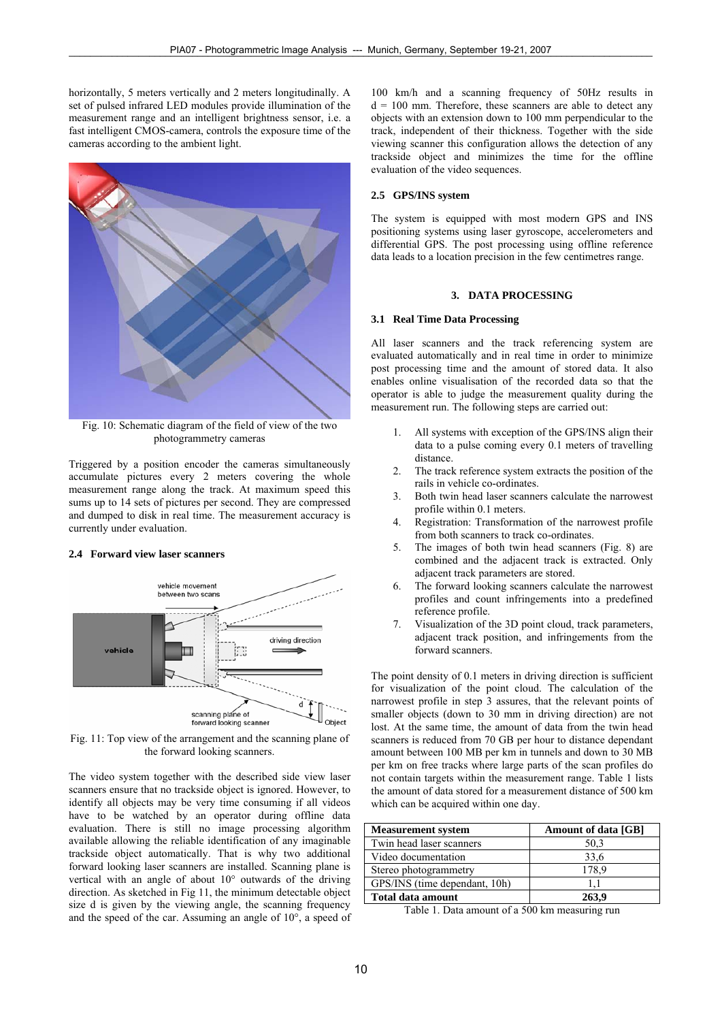horizontally, 5 meters vertically and 2 meters longitudinally. A set of pulsed infrared LED modules provide illumination of the measurement range and an intelligent brightness sensor, i.e. a fast intelligent CMOS-camera, controls the exposure time of the cameras according to the ambient light.



Fig. 10: Schematic diagram of the field of view of the two photogrammetry cameras

Triggered by a position encoder the cameras simultaneously accumulate pictures every 2 meters covering the whole measurement range along the track. At maximum speed this sums up to 14 sets of pictures per second. They are compressed and dumped to disk in real time. The measurement accuracy is currently under evaluation.

#### **2.4 Forward view laser scanners**



Fig. 11: Top view of the arrangement and the scanning plane of the forward looking scanners.

The video system together with the described side view laser scanners ensure that no trackside object is ignored. However, to identify all objects may be very time consuming if all videos have to be watched by an operator during offline data evaluation. There is still no image processing algorithm available allowing the reliable identification of any imaginable trackside object automatically. That is why two additional forward looking laser scanners are installed. Scanning plane is vertical with an angle of about 10° outwards of the driving direction. As sketched in Fig 11, the minimum detectable object size d is given by the viewing angle, the scanning frequency and the speed of the car. Assuming an angle of 10°, a speed of

100 km/h and a scanning frequency of 50Hz results in  $d = 100$  mm. Therefore, these scanners are able to detect any objects with an extension down to 100 mm perpendicular to the track, independent of their thickness. Together with the side viewing scanner this configuration allows the detection of any trackside object and minimizes the time for the offline evaluation of the video sequences.

### **2.5 GPS/INS system**

The system is equipped with most modern GPS and INS positioning systems using laser gyroscope, accelerometers and differential GPS. The post processing using offline reference data leads to a location precision in the few centimetres range.

### **3. DATA PROCESSING**

#### **3.1 Real Time Data Processing**

All laser scanners and the track referencing system are evaluated automatically and in real time in order to minimize post processing time and the amount of stored data. It also enables online visualisation of the recorded data so that the operator is able to judge the measurement quality during the measurement run. The following steps are carried out:

- All systems with exception of the GPS/INS align their data to a pulse coming every 0.1 meters of travelling distance.
- 2. The track reference system extracts the position of the rails in vehicle co-ordinates.
- 3. Both twin head laser scanners calculate the narrowest profile within 0.1 meters.
- 4. Registration: Transformation of the narrowest profile from both scanners to track co-ordinates.
- 5. The images of both twin head scanners (Fig. 8) are combined and the adjacent track is extracted. Only adjacent track parameters are stored.
- 6. The forward looking scanners calculate the narrowest profiles and count infringements into a predefined reference profile.
- 7. Visualization of the 3D point cloud, track parameters, adjacent track position, and infringements from the forward scanners.

The point density of 0.1 meters in driving direction is sufficient for visualization of the point cloud. The calculation of the narrowest profile in step  $\overline{3}$  assures, that the relevant points of smaller objects (down to 30 mm in driving direction) are not lost. At the same time, the amount of data from the twin head scanners is reduced from 70 GB per hour to distance dependant amount between 100 MB per km in tunnels and down to 30 MB per km on free tracks where large parts of the scan profiles do not contain targets within the measurement range. Table 1 lists the amount of data stored for a measurement distance of 500 km which can be acquired within one day.

| <b>Measurement</b> system     | Amount of data [GB] |
|-------------------------------|---------------------|
| Twin head laser scanners      | 50.3                |
| Video documentation           | 33.6                |
| Stereo photogrammetry         | 178.9               |
| GPS/INS (time dependant, 10h) |                     |
| Total data amount             | 263.9               |

Table 1. Data amount of a 500 km measuring run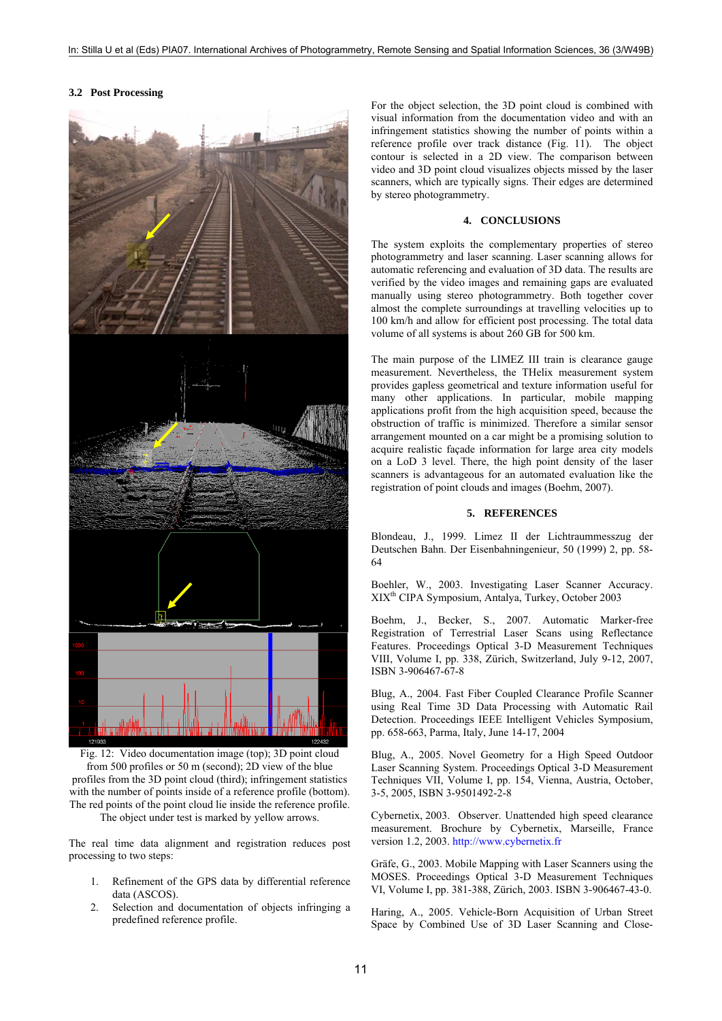#### **3.2 Post Processing**



Fig. 12: Video documentation image (top); 3D point cloud from 500 profiles or 50 m (second); 2D view of the blue profiles from the 3D point cloud (third); infringement statistics with the number of points inside of a reference profile (bottom). The red points of the point cloud lie inside the reference profile. The object under test is marked by yellow arrows.

The real time data alignment and registration reduces post processing to two steps:

- 1. Refinement of the GPS data by differential reference data (ASCOS).
- 2. Selection and documentation of objects infringing a predefined reference profile.

For the object selection, the 3D point cloud is combined with visual information from the documentation video and with an infringement statistics showing the number of points within a reference profile over track distance (Fig. 11). The object contour is selected in a 2D view. The comparison between video and 3D point cloud visualizes objects missed by the laser scanners, which are typically signs. Their edges are determined by stereo photogrammetry.

# **4. CONCLUSIONS**

The system exploits the complementary properties of stereo photogrammetry and laser scanning. Laser scanning allows for automatic referencing and evaluation of 3D data. The results are verified by the video images and remaining gaps are evaluated manually using stereo photogrammetry. Both together cover almost the complete surroundings at travelling velocities up to 100 km/h and allow for efficient post processing. The total data volume of all systems is about 260 GB for 500 km.

The main purpose of the LIMEZ III train is clearance gauge measurement. Nevertheless, the THelix measurement system provides gapless geometrical and texture information useful for many other applications. In particular, mobile mapping applications profit from the high acquisition speed, because the obstruction of traffic is minimized. Therefore a similar sensor arrangement mounted on a car might be a promising solution to acquire realistic façade information for large area city models on a LoD 3 level. There, the high point density of the laser scanners is advantageous for an automated evaluation like the registration of point clouds and images (Boehm, 2007).

### **5. REFERENCES**

Blondeau, J., 1999. Limez II der Lichtraummesszug der Deutschen Bahn. Der Eisenbahningenieur, 50 (1999) 2, pp. 58- 64

Boehler, W., 2003. Investigating Laser Scanner Accuracy. XIXth CIPA Symposium, Antalya, Turkey, October 2003

Boehm, J., Becker, S., 2007. Automatic Marker-free Registration of Terrestrial Laser Scans using Reflectance Features. Proceedings Optical 3-D Measurement Techniques VIII, Volume I, pp. 338, Zürich, Switzerland, July 9-12, 2007, ISBN 3-906467-67-8

Blug, A., 2004. Fast Fiber Coupled Clearance Profile Scanner using Real Time 3D Data Processing with Automatic Rail Detection. Proceedings IEEE Intelligent Vehicles Symposium, pp. 658-663, Parma, Italy, June 14-17, 2004

Blug, A., 2005. Novel Geometry for a High Speed Outdoor Laser Scanning System. Proceedings Optical 3-D Measurement Techniques VII, Volume I, pp. 154, Vienna, Austria, October, 3-5, 2005, ISBN 3-9501492-2-8

Cybernetix, 2003. Observer. Unattended high speed clearance measurement. Brochure by Cybernetix, Marseille, France version 1.2, 2003. http://www.cybernetix.fr

Gräfe, G., 2003. Mobile Mapping with Laser Scanners using the MOSES. Proceedings Optical 3-D Measurement Techniques VI, Volume I, pp. 381-388, Zürich, 2003. ISBN 3-906467-43-0.

Haring, A., 2005. Vehicle-Born Acquisition of Urban Street Space by Combined Use of 3D Laser Scanning and Close